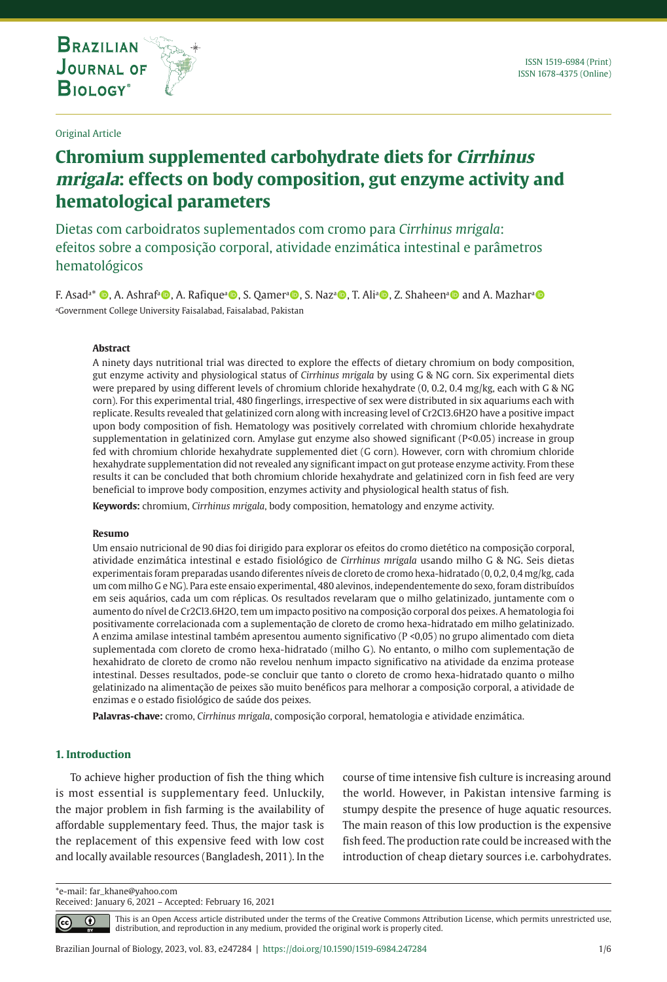**THE INTERNATIONAL JOURNAL ON GLOBAL BIODIVERSITY AND ENVIRONMENT**

### Original Article

# **Chromium supplemented carbohydrate diets for Cirrhinus mrigala: effects on body composition, gut enzyme activity and hematological parameters**

Dietas com carboidratos suplementados com cromo para *Cirrhinus mrigala*: efeitos sobre a composição corporal, atividade enzimática intestinal e parâmetros hematológicos

F. Asadª\* ©, A. Ashrafª©, A. Rafiqueª©, S. Qamerª©, S. Nazª©, T. Aliª©, Z. Shaheenª© and A. Mazharª© a Government College University Faisalabad, Faisalabad, Pakistan

### **Abstract**

A ninety days nutritional trial was directed to explore the effects of dietary chromium on body composition, gut enzyme activity and physiological status of *Cirrhinus mrigala* by using G & NG corn. Six experimental diets were prepared by using different levels of chromium chloride hexahydrate (0, 0.2, 0.4 mg/kg, each with G & NG corn). For this experimental trial, 480 fingerlings, irrespective of sex were distributed in six aquariums each with replicate. Results revealed that gelatinized corn along with increasing level of Cr2Cl3.6H2O have a positive impact upon body composition of fish. Hematology was positively correlated with chromium chloride hexahydrate supplementation in gelatinized corn. Amylase gut enzyme also showed significant (P<0.05) increase in group fed with chromium chloride hexahydrate supplemented diet (G corn). However, corn with chromium chloride hexahydrate supplementation did not revealed any significant impact on gut protease enzyme activity. From these results it can be concluded that both chromium chloride hexahydrate and gelatinized corn in fish feed are very beneficial to improve body composition, enzymes activity and physiological health status of fish.

**Keywords:** chromium, *Cirrhinus mrigala*, body composition, hematology and enzyme activity.

#### **Resumo**

Um ensaio nutricional de 90 dias foi dirigido para explorar os efeitos do cromo dietético na composição corporal, atividade enzimática intestinal e estado fisiológico de *Cirrhinus mrigala* usando milho G & NG. Seis dietas experimentais foram preparadas usando diferentes níveis de cloreto de cromo hexa-hidratado (0, 0,2, 0,4 mg/kg, cada um com milho G e NG). Para este ensaio experimental, 480 alevinos, independentemente do sexo, foram distribuídos em seis aquários, cada um com réplicas. Os resultados revelaram que o milho gelatinizado, juntamente com o aumento do nível de Cr2Cl3.6H2O, tem um impacto positivo na composição corporal dos peixes. A hematologia foi positivamente correlacionada com a suplementação de cloreto de cromo hexa-hidratado em milho gelatinizado. A enzima amilase intestinal também apresentou aumento significativo (P <0,05) no grupo alimentado com dieta suplementada com cloreto de cromo hexa-hidratado (milho G). No entanto, o milho com suplementação de hexahidrato de cloreto de cromo não revelou nenhum impacto significativo na atividade da enzima protease intestinal. Desses resultados, pode-se concluir que tanto o cloreto de cromo hexa-hidratado quanto o milho gelatinizado na alimentação de peixes são muito benéficos para melhorar a composição corporal, a atividade de enzimas e o estado fisiológico de saúde dos peixes.

**Palavras-chave:** cromo, *Cirrhinus mrigala*, composição corporal, hematologia e atividade enzimática.

### **1. Introduction**

To achieve higher production of fish the thing which is most essential is supplementary feed. Unluckily, the major problem in fish farming is the availability of affordable supplementary feed. Thus, the major task is the replacement of this expensive feed with low cost and locally available resources (Bangladesh, 2011). In the course of time intensive fish culture is increasing around the world. However, in Pakistan intensive farming is stumpy despite the presence of huge aquatic resources. The main reason of this low production is the expensive fish feed. The production rate could be increased with the introduction of cheap dietary sources i.e. carbohydrates.

\*e-mail: far\_khane@yahoo.com Received: January 6, 2021 – Accepted: February 16, 2021

> This is an Open Access article distributed under the terms of the Creative Commons Attribution License, which permits unrestricted use, ⋒ distribution, and reproduction in any medium, provided the original work is properly cited.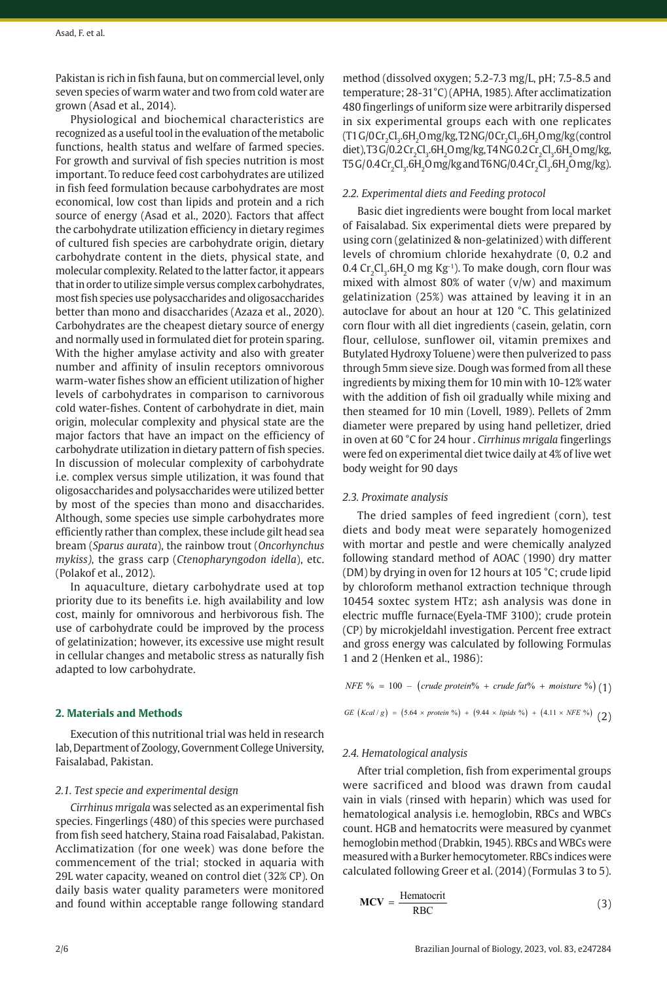Pakistan is rich in fish fauna, but on commercial level, only seven species of warm water and two from cold water are grown (Asad et al., 2014).

Physiological and biochemical characteristics are recognized as a useful tool in the evaluation of the metabolic functions, health status and welfare of farmed species. For growth and survival of fish species nutrition is most important. To reduce feed cost carbohydrates are utilized in fish feed formulation because carbohydrates are most economical, low cost than lipids and protein and a rich source of energy (Asad et al., 2020). Factors that affect the carbohydrate utilization efficiency in dietary regimes of cultured fish species are carbohydrate origin, dietary carbohydrate content in the diets, physical state, and molecular complexity. Related to the latter factor, it appears that in order to utilize simple versus complex carbohydrates, most fish species use polysaccharides and oligosaccharides better than mono and disaccharides (Azaza et al., 2020). Carbohydrates are the cheapest dietary source of energy and normally used in formulated diet for protein sparing. With the higher amylase activity and also with greater number and affinity of insulin receptors omnivorous warm-water fishes show an efficient utilization of higher levels of carbohydrates in comparison to carnivorous cold water-fishes. Content of carbohydrate in diet, main origin, molecular complexity and physical state are the major factors that have an impact on the efficiency of carbohydrate utilization in dietary pattern of fish species. In discussion of molecular complexity of carbohydrate i.e. complex versus simple utilization, it was found that oligosaccharides and polysaccharides were utilized better by most of the species than mono and disaccharides. Although, some species use simple carbohydrates more efficiently rather than complex, these include gilt head sea bream (*Sparus aurata*), the rainbow trout (*Oncorhynchus mykiss),* the grass carp (*Ctenopharyngodon idella*), etc. (Polakof et al., 2012).

In aquaculture, dietary carbohydrate used at top priority due to its benefits i.e. high availability and low cost, mainly for omnivorous and herbivorous fish. The use of carbohydrate could be improved by the process of gelatinization; however, its excessive use might result in cellular changes and metabolic stress as naturally fish adapted to low carbohydrate.

### **2. Materials and Methods**

Execution of this nutritional trial was held in research lab, Department of Zoology, Government College University, Faisalabad, Pakistan.

### *2.1. Test specie and experimental design*

*Cirrhinus mrigala* was selected as an experimental fish species. Fingerlings (480) of this species were purchased from fish seed hatchery, Staina road Faisalabad, Pakistan. Acclimatization (for one week) was done before the commencement of the trial; stocked in aquaria with 29L water capacity, weaned on control diet (32% CP). On daily basis water quality parameters were monitored and found within acceptable range following standard

method (dissolved oxygen; 5.2-7.3 mg/L, pH; 7.5-8.5 and temperature; 28-31°C) (APHA, 1985). After acclimatization 480 fingerlings of uniform size were arbitrarily dispersed in six experimental groups each with one replicates  $(T1 G/OCr<sub>2</sub>Cl<sub>3</sub>$ .6H<sub>2</sub>O mg/kg, T2 NG/0 Cr<sub>2</sub>Cl<sub>3</sub>.6H<sub>2</sub>O mg/kg (control diet), T3 G/0.2 Cr<sub>2</sub>Cl<sub>3</sub>.6H<sub>2</sub>O mg/kg, T4 NG 0.2 Cr<sub>2</sub>Cl<sub>3</sub>.6H<sub>2</sub>O mg/kg,  $T5$ G/0.4 $\rm Cr_2Cl_3$ .6 $\rm H_2O$  mg/kg and T6 NG/0.4 $\rm Cr_2Cl_3$ .6 $\rm H_2O$  mg/kg).

### *2.2. Experimental diets and Feeding protocol*

Basic diet ingredients were bought from local market of Faisalabad. Six experimental diets were prepared by using corn (gelatinized & non-gelatinized) with different levels of chromium chloride hexahydrate (0, 0.2 and 0.4 Cr<sub>2</sub>Cl<sub>3</sub>.6H<sub>2</sub>O mg Kg<sup>-1</sup>). To make dough, corn flour was mixed with almost 80% of water (v/w) and maximum gelatinization (25%) was attained by leaving it in an autoclave for about an hour at 120 °C. This gelatinized corn flour with all diet ingredients (casein, gelatin, corn flour, cellulose, sunflower oil, vitamin premixes and Butylated Hydroxy Toluene) were then pulverized to pass through 5mm sieve size. Dough was formed from all these ingredients by mixing them for 10 min with 10-12% water with the addition of fish oil gradually while mixing and then steamed for 10 min (Lovell, 1989). Pellets of 2mm diameter were prepared by using hand pelletizer, dried in oven at 60 °C for 24 hour . *Cirrhinus mrigala* fingerlings were fed on experimental diet twice daily at 4% of live wet body weight for 90 days

### *2.3. Proximate analysis*

The dried samples of feed ingredient (corn), test diets and body meat were separately homogenized with mortar and pestle and were chemically analyzed following standard method of AOAC (1990) dry matter (DM) by drying in oven for 12 hours at 105 °C; crude lipid by chloroform methanol extraction technique through 10454 soxtec system HTz; ash analysis was done in electric muffle furnace(Eyela-TMF 3100); crude protein (CP) by microkjeldahl investigation. Percent free extract and gross energy was calculated by following Formulas 1 and 2 (Henken et al., 1986):

*NFE*  $% = 100 - (crude protein% + crude fat% + moisture%) (1)$ 

$$
GE (Kcal/g) = (5.64 \times protein\%) + (9.44 \times lipids\%) + (4.11 \times NFE\%) \tag{2}
$$

### *2.4. Hematological analysis*

After trial completion, fish from experimental groups were sacrificed and blood was drawn from caudal vain in vials (rinsed with heparin) which was used for hematological analysis i.e. hemoglobin, RBCs and WBCs count. HGB and hematocrits were measured by cyanmet hemoglobin method (Drabkin, 1945). RBCs and WBCs were measured with a Burker hemocytometer. RBCs indices were calculated following Greer et al. (2014) (Formulas 3 to 5).

$$
MCV = \frac{Hematocrit}{RBC}
$$
 (3)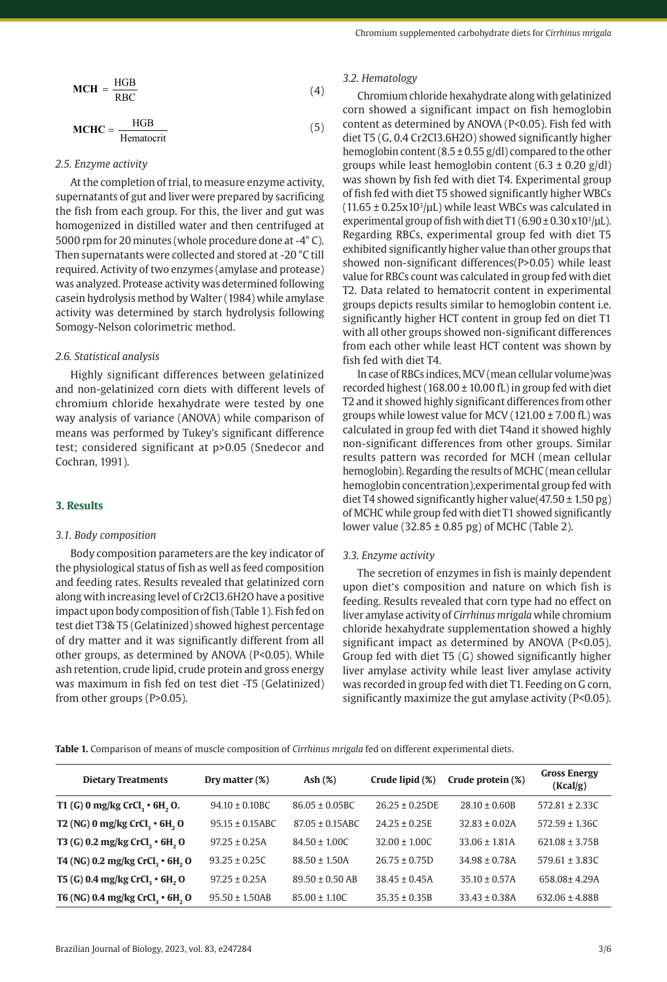$$
MCH = \frac{HGB}{RBC}
$$
 (4)

$$
MCHC = \frac{HGB}{Hematocrit}
$$
 (5)

## *2.5. Enzyme activity*

At the completion of trial, to measure enzyme activity, supernatants of gut and liver were prepared by sacrificing the fish from each group. For this, the liver and gut was homogenized in distilled water and then centrifuged at 5000 rpm for 20 minutes (whole procedure done at -4° C). Then supernatants were collected and stored at -20 °C till required. Activity of two enzymes (amylase and protease) was analyzed. Protease activity was determined following casein hydrolysis method by Walter (1984) while amylase activity was determined by starch hydrolysis following Somogy-Nelson colorimetric method.

### *2.6. Statistical analysis*

Highly significant differences between gelatinized and non-gelatinized corn diets with different levels of chromium chloride hexahydrate were tested by one way analysis of variance (ANOVA) while comparison of means was performed by Tukey's significant difference test; considered significant at p>0.05 (Snedecor and Cochran, 1991).

### **3. Results**

### *3.1. Body composition*

Body composition parameters are the key indicator of the physiological status of fish as well as feed composition and feeding rates. Results revealed that gelatinized corn along with increasing level of Cr2Cl3.6H2O have a positive impact upon body composition of fish (Table 1). Fish fed on test diet T3& T5 (Gelatinized) showed highest percentage of dry matter and it was significantly different from all other groups, as determined by ANOVA (P<0.05). While ash retention, crude lipid, crude protein and gross energy was maximum in fish fed on test diet -T5 (Gelatinized) from other groups (P>0.05).

### *3.2. Hematology*

Chromium chloride hexahydrate along with gelatinized corn showed a significant impact on fish hemoglobin content as determined by ANOVA (P<0.05). Fish fed with diet T5 (G, 0.4 Cr2Cl3.6H2O) showed significantly higher hemoglobin content (8.5  $\pm$  0.55 g/dl) compared to the other groups while least hemoglobin content  $(6.3 \pm 0.20 \text{ g/dl})$ was shown by fish fed with diet T4. Experimental group of fish fed with diet T5 showed significantly higher WBCs  $(11.65 \pm 0.25x10^3/\mu L)$  while least WBCs was calculated in experimental group of fish with diet  $T1 (6.90 \pm 0.30 \text{ x} 10^3/\mu\text{L}).$ Regarding RBCs, experimental group fed with diet T5 exhibited significantly higher value than other groups that showed non-significant differences(P>0.05) while least value for RBCs count was calculated in group fed with diet T2. Data related to hematocrit content in experimental groups depicts results similar to hemoglobin content i.e. significantly higher HCT content in group fed on diet T1 with all other groups showed non-significant differences from each other while least HCT content was shown by fish fed with diet T4.

In case of RBCs indices, MCV (mean cellular volume)was recorded highest ( $168.00 \pm 10.00$  fL) in group fed with diet T2 and it showed highly significant differences from other groups while lowest value for MCV (121.00 ± 7.00 fL) was calculated in group fed with diet T4and it showed highly non-significant differences from other groups. Similar results pattern was recorded for MCH (mean cellular hemoglobin). Regarding the results of MCHC (mean cellular hemoglobin concentration),experimental group fed with diet T4 showed significantly higher value( $47.50 \pm 1.50$  pg) of MCHC while group fed with diet T1 showed significantly lower value (32.85  $\pm$  0.85 pg) of MCHC (Table 2).

### *3.3. Enzyme activity*

The secretion of enzymes in fish is mainly dependent upon diet's composition and nature on which fish is feeding. Results revealed that corn type had no effect on liver amylase activity of *Cirrhinus mrigala* while chromium chloride hexahydrate supplementation showed a highly significant impact as determined by ANOVA (P<0.05). Group fed with diet T5 (G) showed significantly higher liver amylase activity while least liver amylase activity was recorded in group fed with diet T1. Feeding on G corn, significantly maximize the gut amylase activity (P<0.05).

**Table 1.** Comparison of means of muscle composition of *Cirrhinus mrigala* fed on different experimental diets.

| <b>Dietary Treatments</b>                               | Dry matter (%)       | $\mathbf{Ash}(\%)$   | Crude lipid (%)   | Crude protein (%)  | <b>Gross Energy</b><br>(Kcal/g) |
|---------------------------------------------------------|----------------------|----------------------|-------------------|--------------------|---------------------------------|
| T1 (G) 0 mg/kg CrCl, $\cdot$ 6H, O.                     | $94.10 + 0.10BC$     | $86.05 \pm 0.05$ BC  | $26.25 + 0.25DE$  | $28.10 \pm 0.60B$  | $572.81 \pm 2.33$ C             |
| T2 (NG) 0 mg/kg CrCl, $\cdot$ 6H, O                     | $95.15 \pm 0.15$ ABC | $87.05 \pm 0.15$ ABC | $24.25 \pm 0.25E$ | $32.83 \pm 0.02A$  | $572.59 \pm 1.36C$              |
| T3 (G) 0.2 mg/kg CrCl, $\cdot$ 6H, O                    | $97.25 \pm 0.25$ A   | $84.50 + 1.00C$      | $32.00 \pm 1.00C$ | $33.06 \pm 1.81A$  | $621.08 \pm 3.75B$              |
| T4 (NG) 0.2 mg/kg CrCl <sub>2</sub> • 6H <sub>2</sub> O | $93.25 \pm 0.25C$    | $88.50 \pm 1.50A$    | $26.75 \pm 0.75D$ | $34.98 \pm 0.78A$  | $579.61 \pm 3.83$ C             |
| T5 (G) 0.4 mg/kg CrCl, $\cdot$ 6H, O                    | $97.25 \pm 0.25$ A   | $89.50 \pm 0.50$ AB  | $38.45 \pm 0.45A$ | $35.10 \pm 0.57$ A | 658.08±4.29A                    |
| T6 (NG) 0.4 mg/kg CrCl, $\cdot$ 6H, O                   | $95.50 \pm 1.50AB$   | $85.00 \pm 1.10C$    | $35.35 \pm 0.35B$ | $33.43 \pm 0.38A$  | $632.06 \pm 4.88B$              |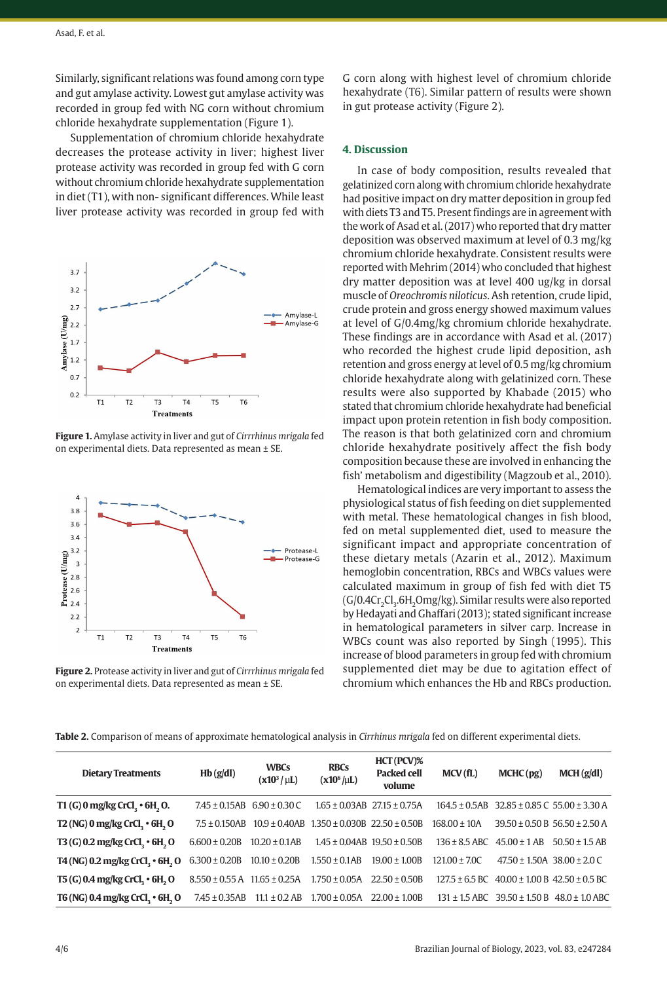Similarly, significant relations was found among corn type and gut amylase activity. Lowest gut amylase activity was recorded in group fed with NG corn without chromium chloride hexahydrate supplementation (Figure 1).

Supplementation of chromium chloride hexahydrate decreases the protease activity in liver; highest liver protease activity was recorded in group fed with G corn without chromium chloride hexahydrate supplementation in diet (T1), with non- significant differences. While least liver protease activity was recorded in group fed with



**Figure 1.** Amylase activity in liver and gut of *Cirrrhinus mrigala* fed on experimental diets. Data represented as mean ± SE.



**Figure 2.** Protease activity in liver and gut of *Cirrrhinus mrigala* fed on experimental diets. Data represented as mean ± SE.

G corn along with highest level of chromium chloride hexahydrate (T6). Similar pattern of results were shown in gut protease activity (Figure 2).

### **4. Discussion**

In case of body composition, results revealed that gelatinized corn along with chromium chloride hexahydrate had positive impact on dry matter deposition in group fed with diets T3 and T5. Present findings are in agreement with the work of Asad et al. (2017) who reported that dry matter deposition was observed maximum at level of 0.3 mg/kg chromium chloride hexahydrate. Consistent results were reported with Mehrim (2014) who concluded that highest dry matter deposition was at level 400 ug/kg in dorsal muscle of *Oreochromis niloticus*. Ash retention, crude lipid, crude protein and gross energy showed maximum values at level of G/0.4mg/kg chromium chloride hexahydrate. These findings are in accordance with Asad et al. (2017) who recorded the highest crude lipid deposition, ash retention and gross energy at level of 0.5 mg/kg chromium chloride hexahydrate along with gelatinized corn. These results were also supported by Khabade (2015) who stated that chromium chloride hexahydrate had beneficial impact upon protein retention in fish body composition. The reason is that both gelatinized corn and chromium chloride hexahydrate positively affect the fish body composition because these are involved in enhancing the fish' metabolism and digestibility (Magzoub et al., 2010).

Hematological indices are very important to assess the physiological status of fish feeding on diet supplemented with metal. These hematological changes in fish blood, fed on metal supplemented diet, used to measure the significant impact and appropriate concentration of these dietary metals (Azarin et al., 2012). Maximum hemoglobin concentration, RBCs and WBCs values were calculated maximum in group of fish fed with diet T5  $(G/0.4Cr_{2}Cl_{3}.6H_{2}Omg/kg)$ . Similar results were also reported by Hedayati and Ghaffari (2013); stated significant increase in hematological parameters in silver carp. Increase in WBCs count was also reported by Singh (1995). This increase of blood parameters in group fed with chromium supplemented diet may be due to agitation effect of chromium which enhances the Hb and RBCs production.

**Table 2.** Comparison of means of approximate hematological analysis in *Cirrhinus mrigala* fed on different experimental diets.

| <b>Dietary Treatments</b>             | Hb(g/dl)                              | <b>WBCs</b><br>$(x10^3/\mu L)$      | <b>RBCs</b><br>$(x10^6/\mu L)$                                               | HCT (PCV)%<br><b>Packed cell</b><br>volume | MCV(fL)                            | MCHC(pg)                           | MCH(g/dl)                                                |
|---------------------------------------|---------------------------------------|-------------------------------------|------------------------------------------------------------------------------|--------------------------------------------|------------------------------------|------------------------------------|----------------------------------------------------------|
| T1 (G) 0 mg/kg CrCl, $\cdot$ 6H, O.   |                                       | $7.45 \pm 0.15AB$ 6.90 $\pm$ 0.30 C |                                                                              | $1.65 \pm 0.03AB$ 27.15 $\pm$ 0.75A        |                                    |                                    | $164.5 \pm 0.5AB$ 32.85 $\pm$ 0.85 C 55.00 $\pm$ 3.30 A  |
| T2 (NG) 0 mg/kg CrCl, $\cdot$ 6H, O   |                                       |                                     | $7.5 \pm 0.150$ AB $10.9 \pm 0.40$ AB $1.350 \pm 0.030$ B $22.50 \pm 0.50$ B |                                            | $168.00 \pm 10A$                   |                                    | $39.50 \pm 0.50 B$ 56.50 ± 2.50 A                        |
| T3 (G) 0.2 mg/kg CrCl, $\cdot$ 6H, O  | $6.600 \pm 0.20B$                     | $10.20 \pm 0.1AB$                   | $1.45 \pm 0.04AB$ 19.50 $\pm$ 0.50B                                          |                                            | $136 \pm 8.5$ ABC $45.00 \pm 1$ AB |                                    | $50.50 \pm 1.5$ AB                                       |
| T4 (NG) 0.2 mg/kg CrCl, $\cdot$ 6H, O | $6.300 \pm 0.20B$ $10.10 \pm 0.20B$   |                                     | $1.550 \pm 0.1AB$                                                            | $19.00 \pm 1.00B$                          | $121.00 \pm 7.00$                  | $47.50 \pm 1.50A$ $38.00 \pm 2.0C$ |                                                          |
| T5 (G) 0.4 mg/kg CrCl, $\cdot$ 6H, O  | $8.550 \pm 0.55$ A $11.65 \pm 0.25$ A |                                     | $1.750 \pm 0.05$ A                                                           | $22.50 \pm 0.50B$                          |                                    |                                    | $127.5 \pm 6.5$ BC $40.00 \pm 1.00$ B $42.50 \pm 0.5$ BC |
| T6 (NG) 0.4 mg/kg CrCl, $\cdot$ 6H, O | $7.45 \pm 0.35AB$                     | $11.1 \pm 0.2$ AB                   | $1.700 \pm 0.05$ A $22.00 \pm 1.00$ B                                        |                                            |                                    |                                    | $131 \pm 1.5$ ABC $39.50 \pm 1.50$ B $48.0 \pm 1.0$ ABC  |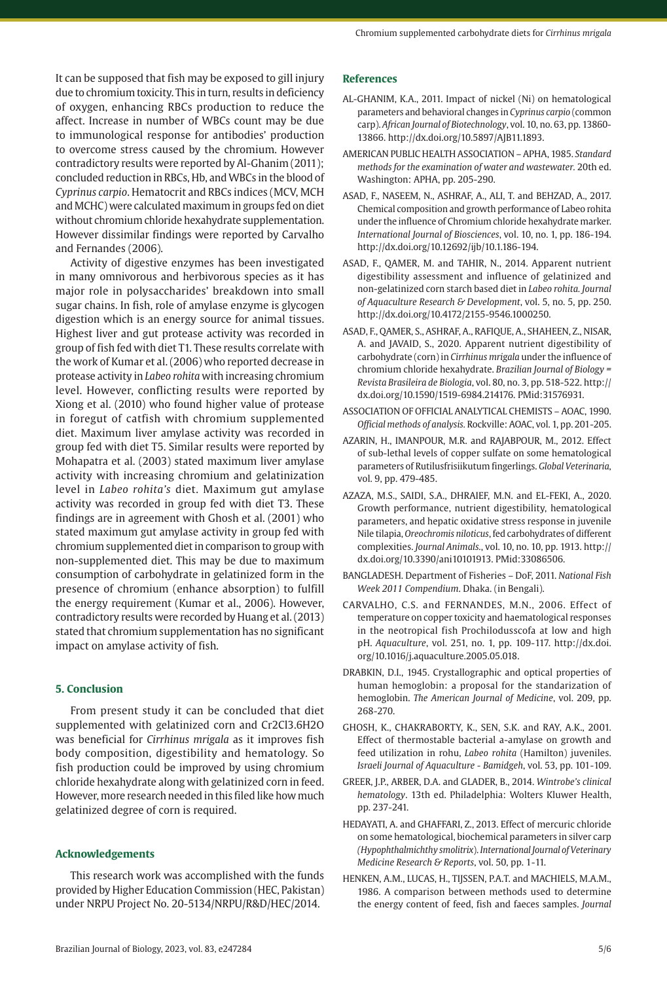It can be supposed that fish may be exposed to gill injury due to chromium toxicity. This in turn, results in deficiency of oxygen, enhancing RBCs production to reduce the affect. Increase in number of WBCs count may be due to immunological response for antibodies' production to overcome stress caused by the chromium. However contradictory results were reported by Al-Ghanim (2011); concluded reduction in RBCs, Hb, and WBCs in the blood of *Cyprinus carpio*. Hematocrit and RBCs indices (MCV, MCH and MCHC) were calculated maximum in groups fed on diet without chromium chloride hexahydrate supplementation. However dissimilar findings were reported by Carvalho and Fernandes (2006).

Activity of digestive enzymes has been investigated in many omnivorous and herbivorous species as it has major role in polysaccharides' breakdown into small sugar chains. In fish, role of amylase enzyme is glycogen digestion which is an energy source for animal tissues. Highest liver and gut protease activity was recorded in group of fish fed with diet T1. These results correlate with the work of Kumar et al. (2006) who reported decrease in protease activity in *Labeo rohita* with increasing chromium level. However, conflicting results were reported by Xiong et al. (2010) who found higher value of protease in foregut of catfish with chromium supplemented diet. Maximum liver amylase activity was recorded in group fed with diet T5. Similar results were reported by Mohapatra et al. (2003) stated maximum liver amylase activity with increasing chromium and gelatinization level in *Labeo rohita's* diet. Maximum gut amylase activity was recorded in group fed with diet T3. These findings are in agreement with Ghosh et al. (2001) who stated maximum gut amylase activity in group fed with chromium supplemented diet in comparison to group with non-supplemented diet. This may be due to maximum consumption of carbohydrate in gelatinized form in the presence of chromium (enhance absorption) to fulfill the energy requirement (Kumar et al., 2006). However, contradictory results were recorded by Huang et al. (2013) stated that chromium supplementation has no significant impact on amylase activity of fish.

### **5. Conclusion**

From present study it can be concluded that diet supplemented with gelatinized corn and Cr2Cl3.6H2O was beneficial for *Cirrhinus mrigala* as it improves fish body composition, digestibility and hematology. So fish production could be improved by using chromium chloride hexahydrate along with gelatinized corn in feed. However, more research needed in this filed like how much gelatinized degree of corn is required.

### **Acknowledgements**

This research work was accomplished with the funds provided by Higher Education Commission (HEC, Pakistan) under NRPU Project No. 20-5134/NRPU/R&D/HEC/2014.

### **References**

- AL-GHANIM, K.A., 2011. Impact of nickel (Ni) on hematological parameters and behavioral changes in *Cyprinus carpio* (common carp). *African Journal of Biotechnology*, vol. 10, no. 63, pp. 13860- 13866. [http://dx.doi.org/10.5897/AJB11.1893.](https://doi.org/10.5897/AJB11.1893)
- AMERICAN PUBLIC HEALTH ASSOCIATION APHA, 1985. *Standard methods for the examination of water and wastewater.* 20th ed. Washington: APHA, pp. 205-290.
- ASAD, F., NASEEM, N., ASHRAF, A., ALI, T. and BEHZAD, A., 2017. Chemical composition and growth performance of Labeo rohita under the influence of Chromium chloride hexahydrate marker. *International Journal of Biosciences*, vol. 10, no. 1, pp. 186-194. [http://dx.doi.org/10.12692/ijb/10.1.186-194](https://doi.org/10.12692/ijb/10.1.186-194).
- ASAD, F., QAMER, M. and TAHIR, N., 2014. Apparent nutrient digestibility assessment and influence of gelatinized and non-gelatinized corn starch based diet in *Labeo rohita. Journal of Aquaculture Research & Development*, vol. 5, no. 5, pp. 250. [http://dx.doi.org/10.4172/2155-9546.1000250.](https://doi.org/10.4172/2155-9546.1000250)
- ASAD, F., QAMER, S., ASHRAF, A., RAFIQUE, A., SHAHEEN, Z., NISAR, A. and JAVAID, S., 2020. Apparent nutrient digestibility of carbohydrate (corn) in *Cirrhinus mrigala* under the influence of chromium chloride hexahydrate. *Brazilian Journal of Biology = Revista Brasileira de Biologia*, vol. 80, no. 3, pp. 518-522. [http://](https://doi.org/10.1590/1519-6984.214176) [dx.doi.org/10.1590/1519-6984.214176](https://doi.org/10.1590/1519-6984.214176)[. PMid:31576931.](https://www.ncbi.nlm.nih.gov/entrez/query.fcgi?cmd=Retrieve&db=PubMed&list_uids=31576931&dopt=Abstract)
- ASSOCIATION OF OFFICIAL ANALYTICAL CHEMISTS AOAC, 1990. *Official methods of analysis.* Rockville: AOAC, vol. 1, pp. 201-205.
- AZARIN, H., IMANPOUR, M.R. and RAJABPOUR, M., 2012. Effect of sub-lethal levels of copper sulfate on some hematological parameters of Rutilusfrisiikutum fingerlings. *Global Veterinaria*, vol. 9, pp. 479-485.
- AZAZA, M.S., SAIDI, S.A., DHRAIEF, M.N. and EL-FEKI, A., 2020. Growth performance, nutrient digestibility, hematological parameters, and hepatic oxidative stress response in juvenile Nile tilapia, *Oreochromis niloticus*, fed carbohydrates of different complexities. *Journal Animals.*, vol. 10, no. 10, pp. 1913. [http://](https://doi.org/10.3390/ani10101913) [dx.doi.org/10.3390/ani10101913](https://doi.org/10.3390/ani10101913)[. PMid:33086506.](https://www.ncbi.nlm.nih.gov/entrez/query.fcgi?cmd=Retrieve&db=PubMed&list_uids=33086506&dopt=Abstract)
- BANGLADESH. Department of Fisheries DoF, 2011. *National Fish Week 2011 Compendium*. Dhaka. (in Bengali).
- CARVALHO, C.S. and FERNANDES, M.N., 2006. Effect of temperature on copper toxicity and haematological responses in the neotropical fish Prochilodusscofa at low and high pH. *Aquaculture*, vol. 251, no. 1, pp. 109-117. [http://dx.doi.](https://doi.org/10.1016/j.aquaculture.2005.05.018) [org/10.1016/j.aquaculture.2005.05.018.](https://doi.org/10.1016/j.aquaculture.2005.05.018)
- DRABKIN, D.I., 1945. Crystallographic and optical properties of human hemoglobin: a proposal for the standarization of hemoglobin. *The American Journal of Medicine*, vol. 209, pp. 268-270.
- GHOSH, K., CHAKRABORTY, K., SEN, S.K. and RAY, A.K., 2001. Effect of thermostable bacterial a-amylase on growth and feed utilization in rohu, *Labeo rohita* (Hamilton) juveniles. *Israeli Journal of Aquaculture - Bamidgeh*, vol. 53, pp. 101-109.
- GREER, J.P., ARBER, D.A. and GLADER, B., 2014. *Wintrobe's clinical hematology*. 13th ed. Philadelphia: Wolters Kluwer Health, pp. 237-241.
- HEDAYATI, A. and GHAFFARI, Z., 2013. Effect of mercuric chloride on some hematological, biochemical parameters in silver carp *(Hypophthalmichthy smolitrix*). *International Journal of Veterinary Medicine Research & Reports*, vol. 50, pp. 1-11.
- HENKEN, A.M., LUCAS, H., TIJSSEN, P.A.T. and MACHIELS, M.A.M., 1986. A comparison between methods used to determine the energy content of feed, fish and faeces samples. *Journal*